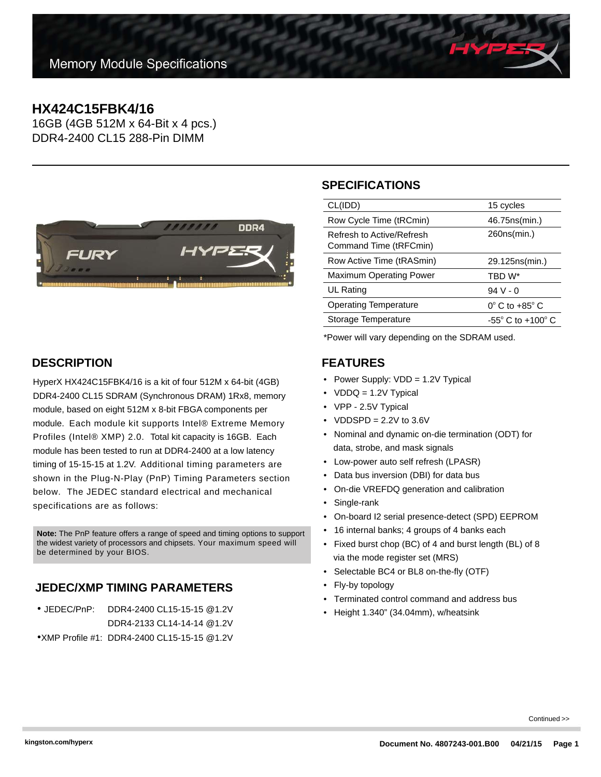# **HX424C15FBK4/16**

16GB (4GB 512M x 64-Bit x 4 pcs.) DDR4-2400 CL15 288-Pin DIMM



## **SPECIFICATIONS**

| CL(IDD)                                             | 15 cycles                           |
|-----------------------------------------------------|-------------------------------------|
| Row Cycle Time (tRCmin)                             | 46.75 ns (min.)                     |
| Refresh to Active/Refresh<br>Command Time (tRFCmin) | 260ns(min.)                         |
| Row Active Time (tRASmin)                           | 29.125ns(min.)                      |
| <b>Maximum Operating Power</b>                      | TBD W*                              |
| UL Rating                                           | $94V - 0$                           |
| <b>Operating Temperature</b>                        | $0^{\circ}$ C to +85 $^{\circ}$ C   |
| Storage Temperature                                 | $-55^{\circ}$ C to $+100^{\circ}$ C |
|                                                     |                                     |

\*Power will vary depending on the SDRAM used.

#### **FEATURES**

- Power Supply: VDD = 1.2V Typical
- VDDQ = 1.2V Typical
- VPP 2.5V Typical
- $VDDSPD = 2.2V$  to  $3.6V$
- Nominal and dynamic on-die termination (ODT) for data, strobe, and mask signals
- Low-power auto self refresh (LPASR)
- Data bus inversion (DBI) for data bus
- On-die VREFDQ generation and calibration
- Single-rank
- On-board I2 serial presence-detect (SPD) EEPROM
- 16 internal banks; 4 groups of 4 banks each
- Fixed burst chop (BC) of 4 and burst length (BL) of 8 via the mode register set (MRS)
- Selectable BC4 or BL8 on-the-fly (OTF)
- Fly-by topology
- Terminated control command and address bus
- Height 1.340" (34.04mm), w/heatsink

## **DESCRIPTION**

HyperX HX424C15FBK4/16 is a kit of four 512M x 64-bit (4GB) DDR4-2400 CL15 SDRAM (Synchronous DRAM) 1Rx8, memory module, based on eight 512M x 8-bit FBGA components per module. Each module kit supports Intel® Extreme Memory Profiles (Intel® XMP) 2.0. Total kit capacity is 16GB. Each module has been tested to run at DDR4-2400 at a low latency timing of 15-15-15 at 1.2V. Additional timing parameters are shown in the Plug-N-Play (PnP) Timing Parameters section below. The JEDEC standard electrical and mechanical specifications are as follows:

**Note:** The PnP feature offers a range of speed and timing options to support the widest variety of processors and chipsets. Your maximum speed will be determined by your BIOS.

## **JEDEC/XMP TIMING PARAMETERS**

| $\bullet$ JEDEC/PnP: | DDR4-2400 CL15-15-15 @1.2V                    |
|----------------------|-----------------------------------------------|
|                      | DDR4-2133 CL14-14-14 @1.2V                    |
|                      | • XMP Profile #1: DDR4-2400 CL15-15-15 @ 1.2V |